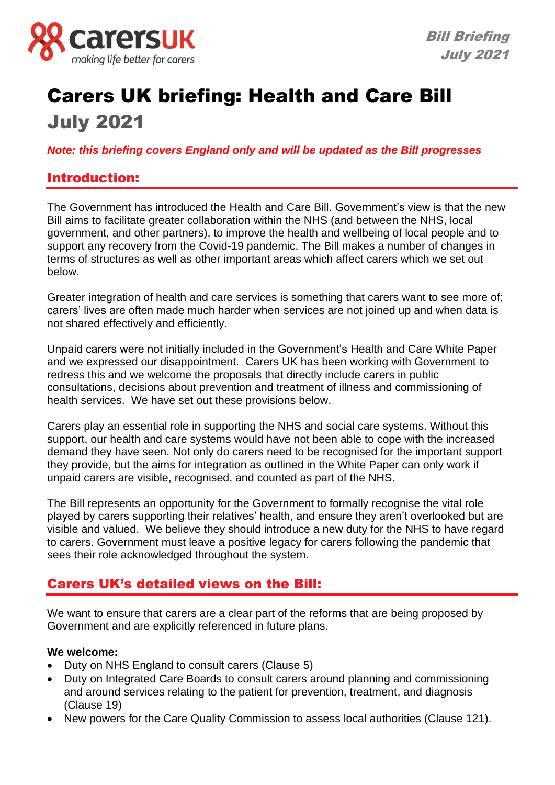

# Carers UK briefing: Health and Care Bill July 2021

*Note: this briefing covers England only and will be updated as the Bill progresses*

### Introduction:

The Government has introduced the Health and Care Bill. Government's view is that the new Bill aims to facilitate greater collaboration within the NHS (and between the NHS, local government, and other partners), to improve the health and wellbeing of local people and to support any recovery from the Covid-19 pandemic. The Bill makes a number of changes in terms of structures as well as other important areas which affect carers which we set out below.

Greater integration of health and care services is something that carers want to see more of; carers' lives are often made much harder when services are not joined up and when data is not shared effectively and efficiently.

Unpaid carers were not initially included in the Government's Health and Care White Paper and we expressed our disappointment. Carers UK has been working with Government to redress this and we welcome the proposals that directly include carers in public consultations, decisions about prevention and treatment of illness and commissioning of health services. We have set out these provisions below.

Carers play an essential role in supporting the NHS and social care systems. Without this support, our health and care systems would have not been able to cope with the increased demand they have seen. Not only do carers need to be recognised for the important support they provide, but the aims for integration as outlined in the White Paper can only work if unpaid carers are visible, recognised, and counted as part of the NHS.

The Bill represents an opportunity for the Government to formally recognise the vital role played by carers supporting their relatives' health, and ensure they aren't overlooked but are visible and valued. We believe they should introduce a new duty for the NHS to have regard to carers. Government must leave a positive legacy for carers following the pandemic that sees their role acknowledged throughout the system.

## Carers UK's detailed views on the Bill:

We want to ensure that carers are a clear part of the reforms that are being proposed by Government and are explicitly referenced in future plans.

### **We welcome:**

- Duty on NHS England to consult carers (Clause 5)
- Duty on Integrated Care Boards to consult carers around planning and commissioning and around services relating to the patient for prevention, treatment, and diagnosis (Clause 19)
- New powers for the Care Quality Commission to assess local authorities (Clause 121).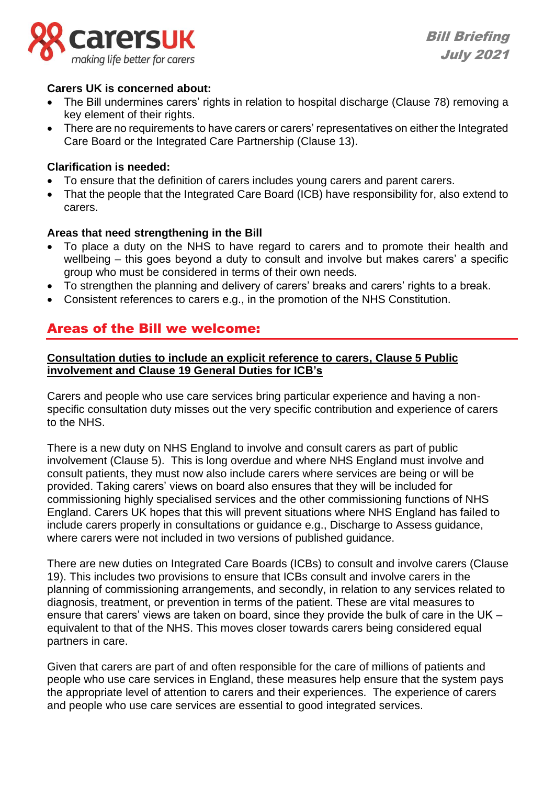

Bill Briefing July 2021

### **Carers UK is concerned about:**

- The Bill undermines carers' rights in relation to hospital discharge (Clause 78) removing a key element of their rights.
- There are no requirements to have carers or carers' representatives on either the Integrated Care Board or the Integrated Care Partnership (Clause 13).

### **Clarification is needed:**

- To ensure that the definition of carers includes young carers and parent carers.
- That the people that the Integrated Care Board (ICB) have responsibility for, also extend to carers.

### **Areas that need strengthening in the Bill**

- To place a duty on the NHS to have regard to carers and to promote their health and wellbeing – this goes beyond a duty to consult and involve but makes carers' a specific group who must be considered in terms of their own needs.
- To strengthen the planning and delivery of carers' breaks and carers' rights to a break.
- Consistent references to carers e.g., in the promotion of the NHS Constitution.

### Areas of the Bill we welcome:

### **Consultation duties to include an explicit reference to carers, Clause 5 Public involvement and Clause 19 General Duties for ICB's**

Carers and people who use care services bring particular experience and having a nonspecific consultation duty misses out the very specific contribution and experience of carers to the NHS.

There is a new duty on NHS England to involve and consult carers as part of public involvement (Clause 5). This is long overdue and where NHS England must involve and consult patients, they must now also include carers where services are being or will be provided. Taking carers' views on board also ensures that they will be included for commissioning highly specialised services and the other commissioning functions of NHS England. Carers UK hopes that this will prevent situations where NHS England has failed to include carers properly in consultations or guidance e.g., Discharge to Assess guidance, where carers were not included in two versions of published guidance.

There are new duties on Integrated Care Boards (ICBs) to consult and involve carers (Clause 19). This includes two provisions to ensure that ICBs consult and involve carers in the planning of commissioning arrangements, and secondly, in relation to any services related to diagnosis, treatment, or prevention in terms of the patient. These are vital measures to ensure that carers' views are taken on board, since they provide the bulk of care in the UK – equivalent to that of the NHS. This moves closer towards carers being considered equal partners in care.

Given that carers are part of and often responsible for the care of millions of patients and people who use care services in England, these measures help ensure that the system pays the appropriate level of attention to carers and their experiences. The experience of carers and people who use care services are essential to good integrated services.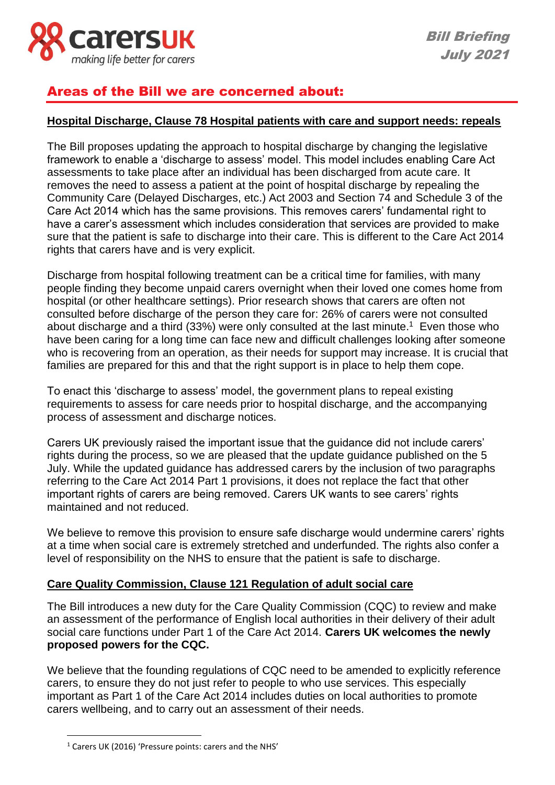

### Areas of the Bill we are concerned about:

### **Hospital Discharge, Clause 78 Hospital patients with care and support needs: repeals**

The Bill proposes updating the approach to hospital discharge by changing the legislative framework to enable a 'discharge to assess' model. This model includes enabling Care Act assessments to take place after an individual has been discharged from acute care. It removes the need to assess a patient at the point of hospital discharge by repealing the Community Care (Delayed Discharges, etc.) Act 2003 and Section 74 and Schedule 3 of the Care Act 2014 which has the same provisions. This removes carers' fundamental right to have a carer's assessment which includes consideration that services are provided to make sure that the patient is safe to discharge into their care. This is different to the Care Act 2014 rights that carers have and is very explicit.

Discharge from hospital following treatment can be a critical time for families, with many people finding they become unpaid carers overnight when their loved one comes home from hospital (or other healthcare settings). Prior research shows that carers are often not consulted before discharge of the person they care for: 26% of carers were not consulted about discharge and a third (33%) were only consulted at the last minute. <sup>1</sup> Even those who have been caring for a long time can face new and difficult challenges looking after someone who is recovering from an operation, as their needs for support may increase. It is crucial that families are prepared for this and that the right support is in place to help them cope.

To enact this 'discharge to assess' model, the government plans to repeal existing requirements to assess for care needs prior to hospital discharge, and the accompanying process of assessment and discharge notices.

Carers UK previously raised the important issue that the guidance did not include carers' rights during the process, so we are pleased that the update guidance published on the 5 July. While the updated guidance has addressed carers by the inclusion of two paragraphs referring to the Care Act 2014 Part 1 provisions, it does not replace the fact that other important rights of carers are being removed. Carers UK wants to see carers' rights maintained and not reduced.

We believe to remove this provision to ensure safe discharge would undermine carers' rights at a time when social care is extremely stretched and underfunded. The rights also confer a level of responsibility on the NHS to ensure that the patient is safe to discharge.

### **Care Quality Commission, Clause 121 Regulation of adult social care**

The Bill introduces a new duty for the Care Quality Commission (CQC) to review and make an assessment of the performance of English local authorities in their delivery of their adult social care functions under Part 1 of the Care Act 2014. **Carers UK welcomes the newly proposed powers for the CQC.**

We believe that the founding regulations of CQC need to be amended to explicitly reference carers, to ensure they do not just refer to people to who use services. This especially important as Part 1 of the Care Act 2014 includes duties on local authorities to promote carers wellbeing, and to carry out an assessment of their needs.

<sup>1</sup> Carers UK (2016) 'Pressure points: carers and the NHS'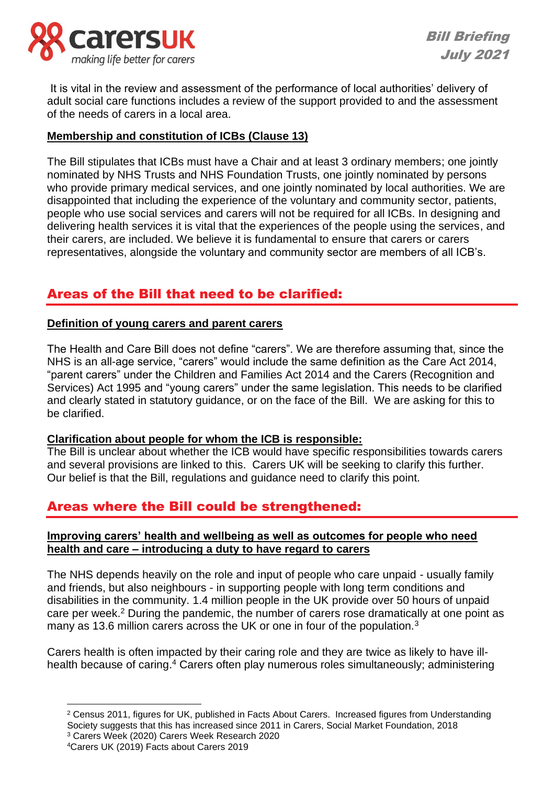

It is vital in the review and assessment of the performance of local authorities' delivery of adult social care functions includes a review of the support provided to and the assessment of the needs of carers in a local area.

### **Membership and constitution of ICBs (Clause 13)**

The Bill stipulates that ICBs must have a Chair and at least 3 ordinary members; one jointly nominated by NHS Trusts and NHS Foundation Trusts, one jointly nominated by persons who provide primary medical services, and one jointly nominated by local authorities. We are disappointed that including the experience of the voluntary and community sector, patients, people who use social services and carers will not be required for all ICBs. In designing and delivering health services it is vital that the experiences of the people using the services, and their carers, are included. We believe it is fundamental to ensure that carers or carers representatives, alongside the voluntary and community sector are members of all ICB's.

### Areas of the Bill that need to be clarified:

### **Definition of young carers and parent carers**

The Health and Care Bill does not define "carers". We are therefore assuming that, since the NHS is an all-age service, "carers" would include the same definition as the Care Act 2014, "parent carers" under the Children and Families Act 2014 and the Carers (Recognition and Services) Act 1995 and "young carers" under the same legislation. This needs to be clarified and clearly stated in statutory guidance, or on the face of the Bill. We are asking for this to be clarified.

### **Clarification about people for whom the ICB is responsible:**

The Bill is unclear about whether the ICB would have specific responsibilities towards carers and several provisions are linked to this. Carers UK will be seeking to clarify this further. Our belief is that the Bill, regulations and guidance need to clarify this point.

### Areas where the Bill could be strengthened:

### **Improving carers' health and wellbeing as well as outcomes for people who need health and care – introducing a duty to have regard to carers**

The NHS depends heavily on the role and input of people who care unpaid - usually family and friends, but also neighbours - in supporting people with long term conditions and disabilities in the community. 1.4 million people in the UK provide over 50 hours of unpaid care per week.<sup>2</sup> During the pandemic, the number of carers rose dramatically at one point as many as 13.6 million carers across the UK or one in four of the population.<sup>3</sup>

Carers health is often impacted by their caring role and they are twice as likely to have illhealth because of caring.<sup>4</sup> Carers often play numerous roles simultaneously; administering

<sup>&</sup>lt;sup>2</sup> Census 2011, figures for UK, published in Facts About Carers. Increased figures from Understanding Society suggests that this has increased since 2011 in Carers, Social Market Foundation, 2018 <sup>3</sup> Carers Week (2020) Carers Week Research 2020

<sup>4</sup>Carers UK (2019) Facts about Carers 2019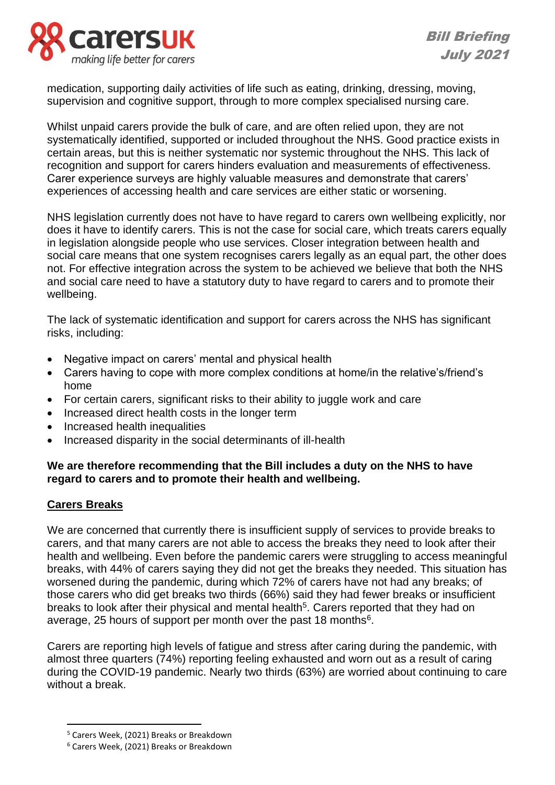

medication, supporting daily activities of life such as eating, drinking, dressing, moving, supervision and cognitive support, through to more complex specialised nursing care.

Whilst unpaid carers provide the bulk of care, and are often relied upon, they are not systematically identified, supported or included throughout the NHS. Good practice exists in certain areas, but this is neither systematic nor systemic throughout the NHS. This lack of recognition and support for carers hinders evaluation and measurements of effectiveness. Carer experience surveys are highly valuable measures and demonstrate that carers' experiences of accessing health and care services are either static or worsening.

NHS legislation currently does not have to have regard to carers own wellbeing explicitly, nor does it have to identify carers. This is not the case for social care, which treats carers equally in legislation alongside people who use services. Closer integration between health and social care means that one system recognises carers legally as an equal part, the other does not. For effective integration across the system to be achieved we believe that both the NHS and social care need to have a statutory duty to have regard to carers and to promote their wellbeing.

The lack of systematic identification and support for carers across the NHS has significant risks, including:

- Negative impact on carers' mental and physical health
- Carers having to cope with more complex conditions at home/in the relative's/friend's home
- For certain carers, significant risks to their ability to juggle work and care
- Increased direct health costs in the longer term
- Increased health inequalities
- Increased disparity in the social determinants of ill-health

### **We are therefore recommending that the Bill includes a duty on the NHS to have regard to carers and to promote their health and wellbeing.**

### **Carers Breaks**

We are concerned that currently there is insufficient supply of services to provide breaks to carers, and that many carers are not able to access the breaks they need to look after their health and wellbeing. Even before the pandemic carers were struggling to access meaningful breaks, with 44% of carers saying they did not get the breaks they needed. This situation has worsened during the pandemic, during which 72% of carers have not had any breaks; of those carers who did get breaks two thirds (66%) said they had fewer breaks or insufficient breaks to look after their physical and mental health<sup>5</sup>. Carers reported that they had on average, 25 hours of support per month over the past 18 months<sup>6</sup>.

Carers are reporting high levels of fatigue and stress after caring during the pandemic, with almost three quarters (74%) reporting feeling exhausted and worn out as a result of caring during the COVID-19 pandemic. Nearly two thirds (63%) are worried about continuing to care without a break.

<sup>5</sup> Carers Week, (2021) Breaks or Breakdown

<sup>6</sup> Carers Week, (2021) Breaks or Breakdown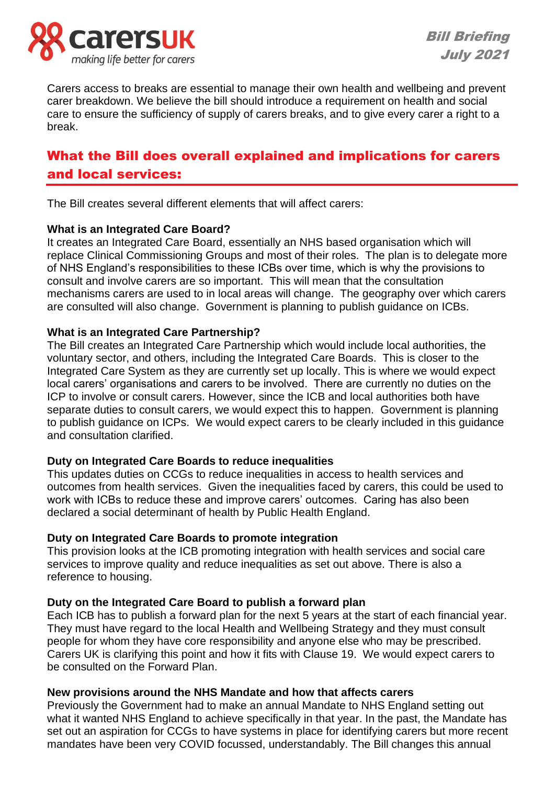

Carers access to breaks are essential to manage their own health and wellbeing and prevent carer breakdown. We believe the bill should introduce a requirement on health and social care to ensure the sufficiency of supply of carers breaks, and to give every carer a right to a break.

# What the Bill does overall explained and implications for carers and local services:

The Bill creates several different elements that will affect carers:

### **What is an Integrated Care Board?**

It creates an Integrated Care Board, essentially an NHS based organisation which will replace Clinical Commissioning Groups and most of their roles. The plan is to delegate more of NHS England's responsibilities to these ICBs over time, which is why the provisions to consult and involve carers are so important. This will mean that the consultation mechanisms carers are used to in local areas will change. The geography over which carers are consulted will also change. Government is planning to publish guidance on ICBs.

### **What is an Integrated Care Partnership?**

The Bill creates an Integrated Care Partnership which would include local authorities, the voluntary sector, and others, including the Integrated Care Boards. This is closer to the Integrated Care System as they are currently set up locally. This is where we would expect local carers' organisations and carers to be involved. There are currently no duties on the ICP to involve or consult carers. However, since the ICB and local authorities both have separate duties to consult carers, we would expect this to happen. Government is planning to publish guidance on ICPs. We would expect carers to be clearly included in this guidance and consultation clarified.

### **Duty on Integrated Care Boards to reduce inequalities**

This updates duties on CCGs to reduce inequalities in access to health services and outcomes from health services. Given the inequalities faced by carers, this could be used to work with ICBs to reduce these and improve carers' outcomes. Caring has also been declared a social determinant of health by Public Health England.

### **Duty on Integrated Care Boards to promote integration**

This provision looks at the ICB promoting integration with health services and social care services to improve quality and reduce inequalities as set out above. There is also a reference to housing.

### **Duty on the Integrated Care Board to publish a forward plan**

Each ICB has to publish a forward plan for the next 5 years at the start of each financial year. They must have regard to the local Health and Wellbeing Strategy and they must consult people for whom they have core responsibility and anyone else who may be prescribed. Carers UK is clarifying this point and how it fits with Clause 19. We would expect carers to be consulted on the Forward Plan.

### **New provisions around the NHS Mandate and how that affects carers**

Previously the Government had to make an annual Mandate to NHS England setting out what it wanted NHS England to achieve specifically in that year. In the past, the Mandate has set out an aspiration for CCGs to have systems in place for identifying carers but more recent mandates have been very COVID focussed, understandably. The Bill changes this annual